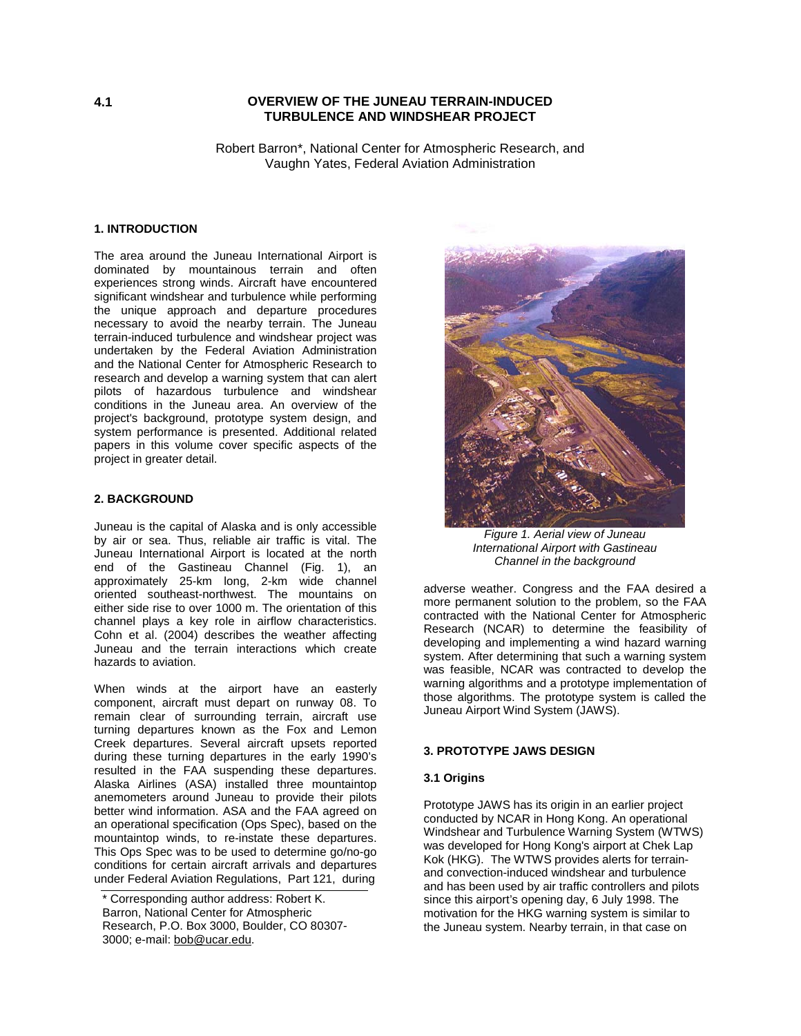# **4.1 OVERVIEW OF THE JUNEAU TERRAIN-INDUCED TURBULENCE AND WINDSHEAR PROJECT**

Robert Barron\*, National Center for Atmospheric Research, and Vaughn Yates, Federal Aviation Administration

### **1. INTRODUCTION**

The area around the Juneau International Airport is dominated by mountainous terrain and often experiences strong winds. Aircraft have encountered significant windshear and turbulence while performing the unique approach and departure procedures necessary to avoid the nearby terrain. The Juneau terrain-induced turbulence and windshear project was undertaken by the Federal Aviation Administration and the National Center for Atmospheric Research to research and develop a warning system that can alert pilots of hazardous turbulence and windshear conditions in the Juneau area. An overview of the project's background, prototype system design, and system performance is presented. Additional related papers in this volume cover specific aspects of the project in greater detail.

### **2. BACKGROUND**

Juneau is the capital of Alaska and is only accessible by air or sea. Thus, reliable air traffic is vital. The Juneau International Airport is located at the north end of the Gastineau Channel (Fig. 1), an approximately 25-km long, 2-km wide channel oriented southeast-northwest. The mountains on either side rise to over 1000 m. The orientation of this channel plays a key role in airflow characteristics. Cohn et al. (2004) describes the weather affecting Juneau and the terrain interactions which create hazards to aviation.

When winds at the airport have an easterly component, aircraft must depart on runway 08. To remain clear of surrounding terrain, aircraft use turning departures known as the Fox and Lemon Creek departures. Several aircraft upsets reported during these turning departures in the early 1990's resulted in the FAA suspending these departures. Alaska Airlines (ASA) installed three mountaintop anemometers around Juneau to provide their pilots better wind information. ASA and the FAA agreed on an operational specification (Ops Spec), based on the mountaintop winds, to re-instate these departures. This Ops Spec was to be used to determine go/no-go conditions for certain aircraft arrivals and departures under Federal Aviation Regulations, Part 121, during



*Figure 1. Aerial view of Juneau International Airport with Gastineau Channel in the background*

adverse weather. Congress and the FAA desired a more permanent solution to the problem, so the FAA contracted with the National Center for Atmospheric Research (NCAR) to determine the feasibility of developing and implementing a wind hazard warning system. After determining that such a warning system was feasible, NCAR was contracted to develop the warning algorithms and a prototype implementation of those algorithms. The prototype system is called the Juneau Airport Wind System (JAWS).

### **3. PROTOTYPE JAWS DESIGN**

### **3.1 Origins**

Prototype JAWS has its origin in an earlier project conducted by NCAR in Hong Kong. An operational Windshear and Turbulence Warning System (WTWS) was developed for Hong Kong's airport at Chek Lap Kok (HKG). The WTWS provides alerts for terrainand convection-induced windshear and turbulence and has been used by air traffic controllers and pilots since this airport's opening day, 6 July 1998. The motivation for the HKG warning system is similar to the Juneau system. Nearby terrain, in that case on

<sup>\*</sup> Corresponding author address: Robert K. Barron, National Center for Atmospheric Research, P.O. Box 3000, Boulder, CO 80307- 3000; e-mail: bob@ucar.edu.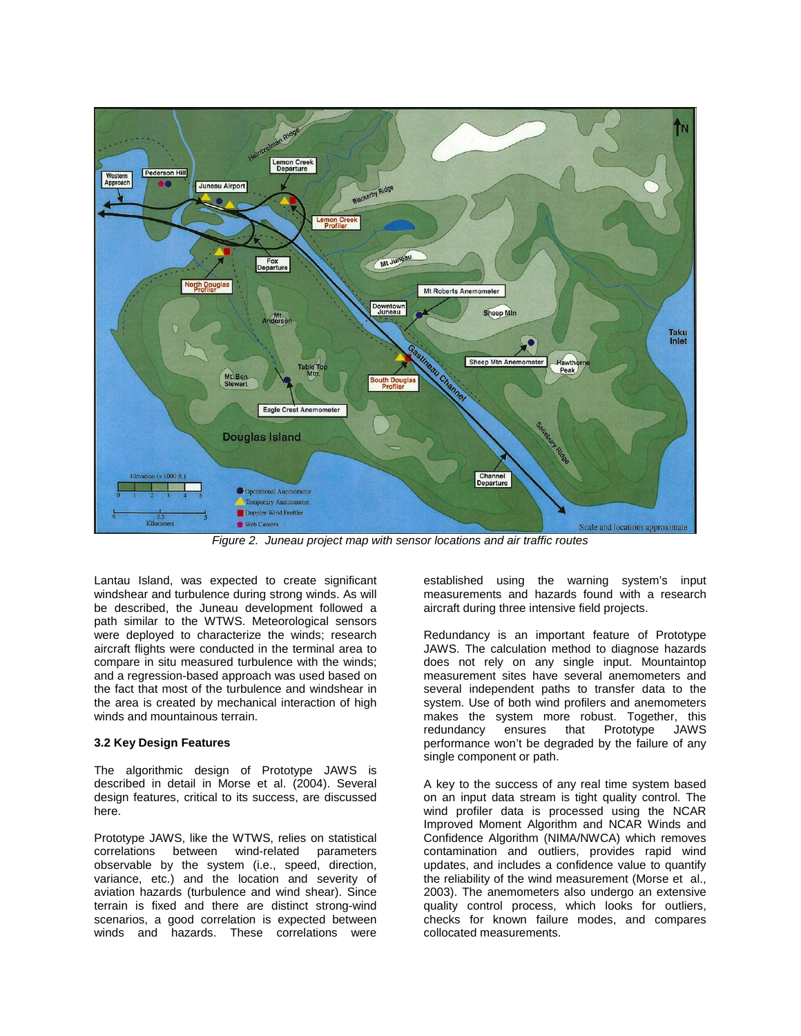

*Figure 2. Juneau project map with sensor locations and air traffic routes* 

Lantau Island, was expected to create significant windshear and turbulence during strong winds. As will be described, the Juneau development followed a path similar to the WTWS. Meteorological sensors were deployed to characterize the winds; research aircraft flights were conducted in the terminal area to compare in situ measured turbulence with the winds; and a regression-based approach was used based on the fact that most of the turbulence and windshear in the area is created by mechanical interaction of high winds and mountainous terrain

# **3.2 Key Design Features**

The algorithmic design of Prototype JAWS is described in detail in Morse et al. (2004). Several design features, critical to its success, are discussed here.

Prototype JAWS, like the WTWS, relies on statistical correlations between wind-related parameters observable by the system (i.e., speed, direction, variance, etc.) and the location and severity of aviation hazards (turbulence and wind shear). Since terrain is fixed and there are distinct strong-wind scenarios, a good correlation is expected between winds and hazards. These correlations were

established using the warning system's input measurements and hazards found with a research aircraft during three intensive field projects.

Redundancy is an important feature of Prototype JAWS. The calculation method to diagnose hazards does not rely on any single input. Mountaintop measurement sites have several anemometers and several independent paths to transfer data to the system. Use of both wind profilers and anemometers makes the system more robust. Together, this redundancy ensures that Prototype JAWS performance won't be degraded by the failure of any single component or path.

A key to the success of any real time system based on an input data stream is tight quality control. The wind profiler data is processed using the NCAR Improved Moment Algorithm and NCAR Winds and Confidence Algorithm (NIMA/NWCA) which removes contamination and outliers, provides rapid wind updates, and includes a confidence value to quantify the reliability of the wind measurement (Morse et al., 2003). The anemometers also undergo an extensive quality control process, which looks for outliers, checks for known failure modes, and compares collocated measurements.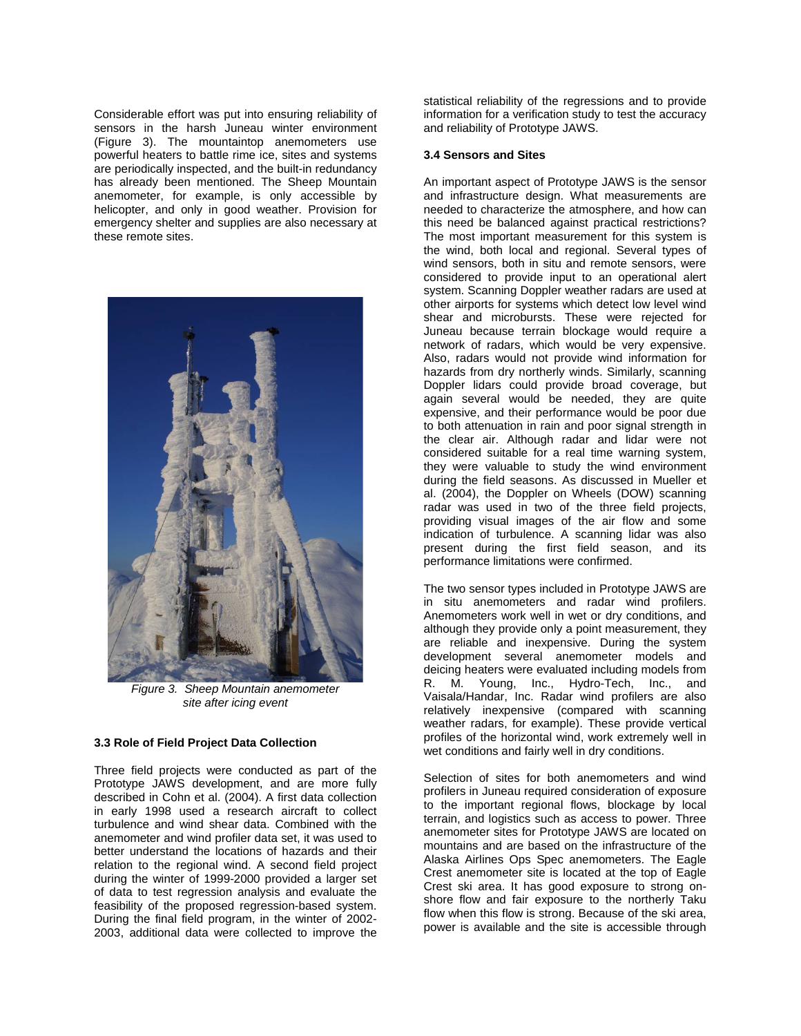Considerable effort was put into ensuring reliability of sensors in the harsh Juneau winter environment (Figure 3). The mountaintop anemometers use powerful heaters to battle rime ice, sites and systems are periodically inspected, and the built-in redundancy has already been mentioned. The Sheep Mountain anemometer, for example, is only accessible by helicopter, and only in good weather. Provision for emergency shelter and supplies are also necessary at these remote sites.



*Figure 3. Sheep Mountain anemometer site after icing event*

# **3.3 Role of Field Project Data Collection**

Three field projects were conducted as part of the Prototype JAWS development, and are more fully described in Cohn et al. (2004). A first data collection in early 1998 used a research aircraft to collect turbulence and wind shear data. Combined with the anemometer and wind profiler data set, it was used to better understand the locations of hazards and their relation to the regional wind. A second field project during the winter of 1999-2000 provided a larger set of data to test regression analysis and evaluate the feasibility of the proposed regression-based system. During the final field program, in the winter of 2002- 2003, additional data were collected to improve the

statistical reliability of the regressions and to provide information for a verification study to test the accuracy and reliability of Prototype JAWS.

#### **3.4 Sensors and Sites**

An important aspect of Prototype JAWS is the sensor and infrastructure design. What measurements are needed to characterize the atmosphere, and how can this need be balanced against practical restrictions? The most important measurement for this system is the wind, both local and regional. Several types of wind sensors, both in situ and remote sensors, were considered to provide input to an operational alert system. Scanning Doppler weather radars are used at other airports for systems which detect low level wind shear and microbursts. These were rejected for Juneau because terrain blockage would require a network of radars, which would be very expensive. Also, radars would not provide wind information for hazards from dry northerly winds. Similarly, scanning Doppler lidars could provide broad coverage, but again several would be needed, they are quite expensive, and their performance would be poor due to both attenuation in rain and poor signal strength in the clear air. Although radar and lidar were not considered suitable for a real time warning system, they were valuable to study the wind environment during the field seasons. As discussed in Mueller et al. (2004), the Doppler on Wheels (DOW) scanning radar was used in two of the three field projects, providing visual images of the air flow and some indication of turbulence. A scanning lidar was also present during the first field season, and its performance limitations were confirmed.

The two sensor types included in Prototype JAWS are in situ anemometers and radar wind profilers. Anemometers work well in wet or dry conditions, and although they provide only a point measurement, they are reliable and inexpensive. During the system development several anemometer models and deicing heaters were evaluated including models from R. M. Young, Inc., Hydro-Tech, Inc., and Vaisala/Handar, Inc. Radar wind profilers are also relatively inexpensive (compared with scanning weather radars, for example). These provide vertical profiles of the horizontal wind, work extremely well in wet conditions and fairly well in dry conditions.

Selection of sites for both anemometers and wind profilers in Juneau required consideration of exposure to the important regional flows, blockage by local terrain, and logistics such as access to power. Three anemometer sites for Prototype JAWS are located on mountains and are based on the infrastructure of the Alaska Airlines Ops Spec anemometers. The Eagle Crest anemometer site is located at the top of Eagle Crest ski area. It has good exposure to strong onshore flow and fair exposure to the northerly Taku flow when this flow is strong. Because of the ski area, power is available and the site is accessible through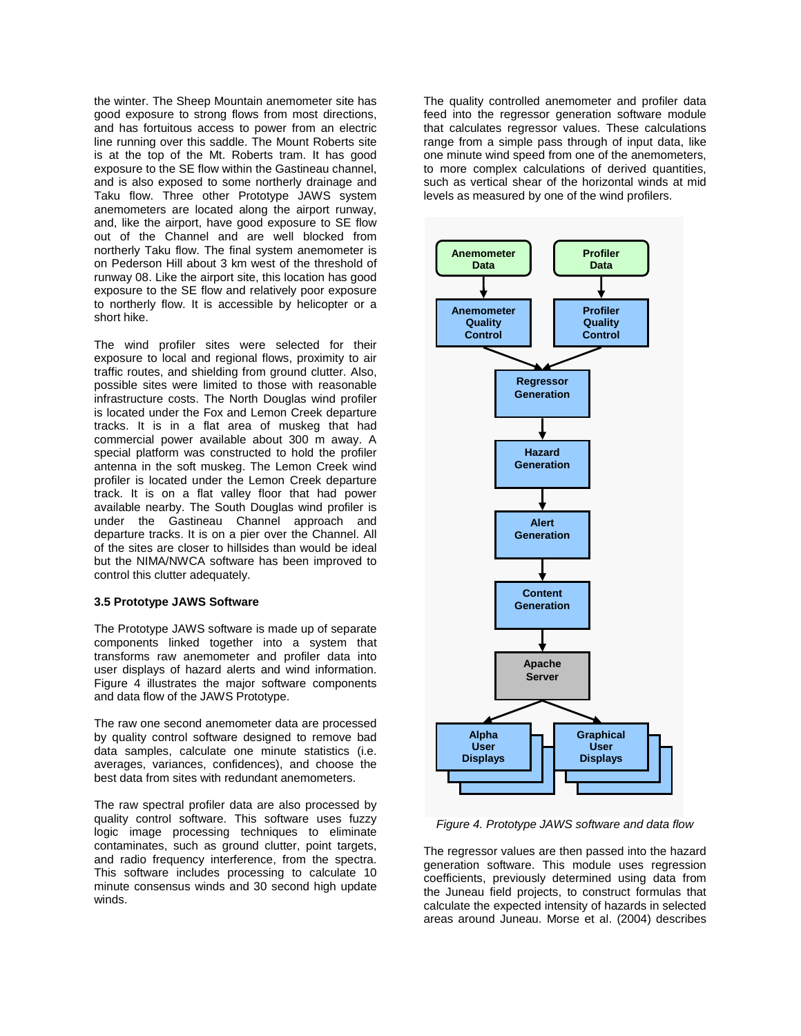the winter. The Sheep Mountain anemometer site has good exposure to strong flows from most directions, and has fortuitous access to power from an electric line running over this saddle. The Mount Roberts site is at the top of the Mt. Roberts tram. It has good exposure to the SE flow within the Gastineau channel, and is also exposed to some northerly drainage and Taku flow. Three other Prototype JAWS system anemometers are located along the airport runway, and, like the airport, have good exposure to SE flow out of the Channel and are well blocked from northerly Taku flow. The final system anemometer is on Pederson Hill about 3 km west of the threshold of runway 08. Like the airport site, this location has good exposure to the SE flow and relatively poor exposure to northerly flow. It is accessible by helicopter or a short hike.

The wind profiler sites were selected for their exposure to local and regional flows, proximity to air traffic routes, and shielding from ground clutter. Also, possible sites were limited to those with reasonable infrastructure costs. The North Douglas wind profiler is located under the Fox and Lemon Creek departure tracks. It is in a flat area of muskeg that had commercial power available about 300 m away. A special platform was constructed to hold the profiler antenna in the soft muskeg. The Lemon Creek wind profiler is located under the Lemon Creek departure track. It is on a flat valley floor that had power available nearby. The South Douglas wind profiler is under the Gastineau Channel approach and departure tracks. It is on a pier over the Channel. All of the sites are closer to hillsides than would be ideal but the NIMA/NWCA software has been improved to control this clutter adequately.

#### **3.5 Prototype JAWS Software**

The Prototype JAWS software is made up of separate components linked together into a system that transforms raw anemometer and profiler data into user displays of hazard alerts and wind information. Figure 4 illustrates the major software components and data flow of the JAWS Prototype.

The raw one second anemometer data are processed by quality control software designed to remove bad data samples, calculate one minute statistics (i.e. averages, variances, confidences), and choose the best data from sites with redundant anemometers.

The raw spectral profiler data are also processed by quality control software. This software uses fuzzy logic image processing techniques to eliminate contaminates, such as ground clutter, point targets, and radio frequency interference, from the spectra. This software includes processing to calculate 10 minute consensus winds and 30 second high update winds.

The quality controlled anemometer and profiler data feed into the regressor generation software module that calculates regressor values. These calculations range from a simple pass through of input data, like one minute wind speed from one of the anemometers, to more complex calculations of derived quantities, such as vertical shear of the horizontal winds at mid levels as measured by one of the wind profilers.



*Figure 4. Prototype JAWS software and data flow* 

The regressor values are then passed into the hazard generation software. This module uses regression coefficients, previously determined using data from the Juneau field projects, to construct formulas that calculate the expected intensity of hazards in selected areas around Juneau. Morse et al. (2004) describes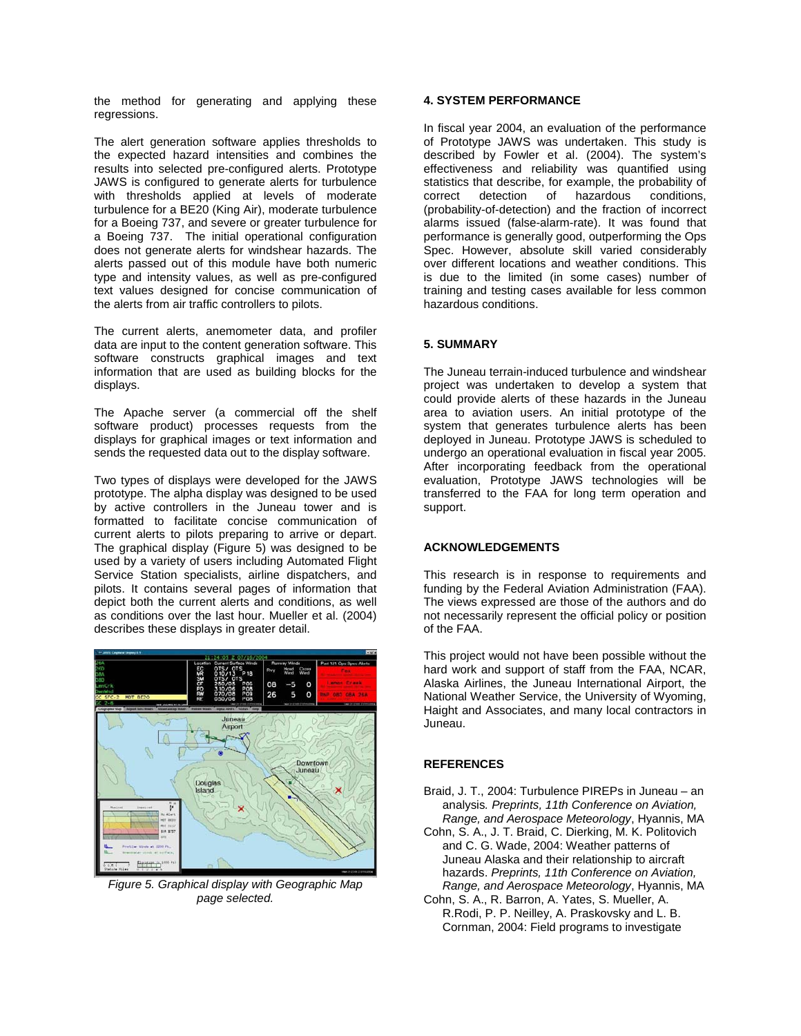the method for generating and applying these regressions.

The alert generation software applies thresholds to the expected hazard intensities and combines the results into selected pre-configured alerts. Prototype JAWS is configured to generate alerts for turbulence with thresholds applied at levels of moderate turbulence for a BE20 (King Air), moderate turbulence for a Boeing 737, and severe or greater turbulence for a Boeing 737. The initial operational configuration does not generate alerts for windshear hazards. The alerts passed out of this module have both numeric type and intensity values, as well as pre-configured text values designed for concise communication of the alerts from air traffic controllers to pilots.

The current alerts, anemometer data, and profiler data are input to the content generation software. This software constructs graphical images and text information that are used as building blocks for the displays.

The Apache server (a commercial off the shelf software product) processes requests from the displays for graphical images or text information and sends the requested data out to the display software.

Two types of displays were developed for the JAWS prototype. The alpha display was designed to be used by active controllers in the Juneau tower and is formatted to facilitate concise communication of current alerts to pilots preparing to arrive or depart. The graphical display (Figure 5) was designed to be used by a variety of users including Automated Flight Service Station specialists, airline dispatchers, and pilots. It contains several pages of information that depict both the current alerts and conditions, as well as conditions over the last hour. Mueller et al. (2004) describes these displays in greater detail.



*Figure 5. Graphical display with Geographic Map page selected.* 

# **4. SYSTEM PERFORMANCE**

In fiscal year 2004, an evaluation of the performance of Prototype JAWS was undertaken. This study is described by Fowler et al. (2004). The system's effectiveness and reliability was quantified using statistics that describe, for example, the probability of correct detection of hazardous conditions, (probability-of-detection) and the fraction of incorrect alarms issued (false-alarm-rate). It was found that performance is generally good, outperforming the Ops Spec. However, absolute skill varied considerably over different locations and weather conditions. This is due to the limited (in some cases) number of training and testing cases available for less common hazardous conditions.

# **5. SUMMARY**

The Juneau terrain-induced turbulence and windshear project was undertaken to develop a system that could provide alerts of these hazards in the Juneau area to aviation users. An initial prototype of the system that generates turbulence alerts has been deployed in Juneau. Prototype JAWS is scheduled to undergo an operational evaluation in fiscal year 2005. After incorporating feedback from the operational evaluation, Prototype JAWS technologies will be transferred to the FAA for long term operation and support.

# **ACKNOWLEDGEMENTS**

This research is in response to requirements and funding by the Federal Aviation Administration (FAA). The views expressed are those of the authors and do not necessarily represent the official policy or position of the FAA.

This project would not have been possible without the hard work and support of staff from the FAA, NCAR, Alaska Airlines, the Juneau International Airport, the National Weather Service, the University of Wyoming, Haight and Associates, and many local contractors in Juneau.

# **REFERENCES**

- Braid, J. T., 2004: Turbulence PIREPs in Juneau an analysis*. Preprints, 11th Conference on Aviation, Range, and Aerospace Meteorology*, Hyannis, MA
- Cohn, S. A., J. T. Braid, C. Dierking, M. K. Politovich and C. G. Wade, 2004: Weather patterns of Juneau Alaska and their relationship to aircraft hazards. *Preprints, 11th Conference on Aviation, Range, and Aerospace Meteorology*, Hyannis, MA
- Cohn, S. A., R. Barron, A. Yates, S. Mueller, A. R.Rodi, P. P. Neilley, A. Praskovsky and L. B. Cornman, 2004: Field programs to investigate